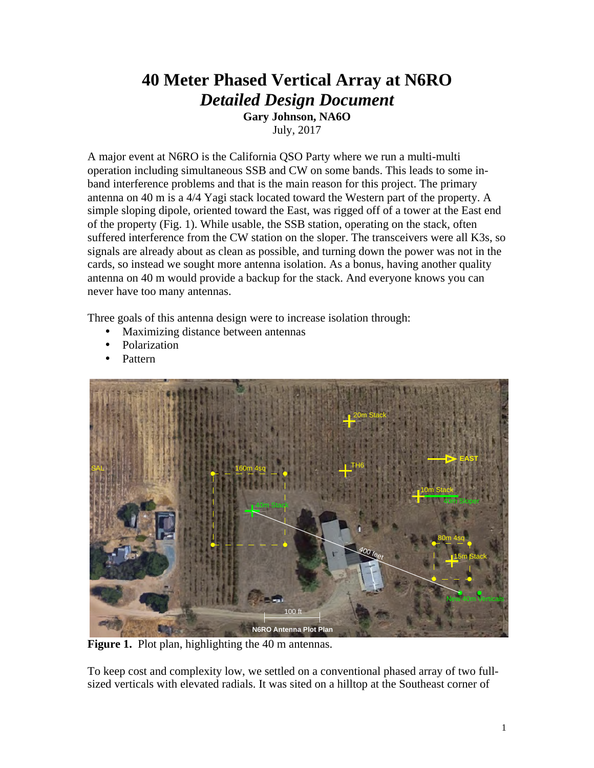## **40 Meter Phased Vertical Array at N6RO** *Detailed Design Document* **Gary Johnson, NA6O**

July, 2017

A major event at N6RO is the California QSO Party where we run a multi-multi operation including simultaneous SSB and CW on some bands. This leads to some inband interference problems and that is the main reason for this project. The primary antenna on 40 m is a 4/4 Yagi stack located toward the Western part of the property. A simple sloping dipole, oriented toward the East, was rigged off of a tower at the East end of the property (Fig. 1). While usable, the SSB station, operating on the stack, often suffered interference from the CW station on the sloper. The transceivers were all K3s, so signals are already about as clean as possible, and turning down the power was not in the cards, so instead we sought more antenna isolation. As a bonus, having another quality antenna on 40 m would provide a backup for the stack. And everyone knows you can never have too many antennas.

Three goals of this antenna design were to increase isolation through:

- Maximizing distance between antennas
- Polarization
- Pattern



Figure 1. Plot plan, highlighting the 40 m antennas.

To keep cost and complexity low, we settled on a conventional phased array of two fullsized verticals with elevated radials. It was sited on a hilltop at the Southeast corner of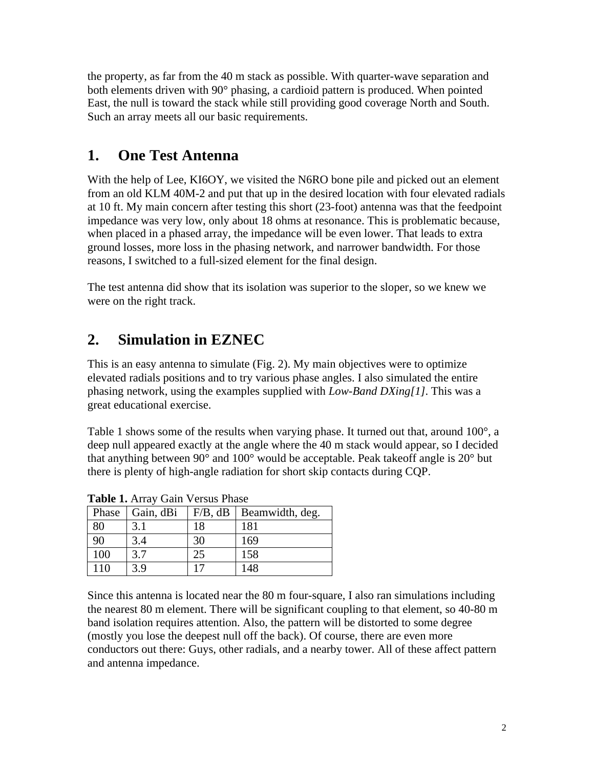the property, as far from the 40 m stack as possible. With quarter-wave separation and both elements driven with 90° phasing, a cardioid pattern is produced. When pointed East, the null is toward the stack while still providing good coverage North and South. Such an array meets all our basic requirements.

### **1. One Test Antenna**

With the help of Lee, KI6OY, we visited the N6RO bone pile and picked out an element from an old KLM 40M-2 and put that up in the desired location with four elevated radials at 10 ft. My main concern after testing this short (23-foot) antenna was that the feedpoint impedance was very low, only about 18 ohms at resonance. This is problematic because, when placed in a phased array, the impedance will be even lower. That leads to extra ground losses, more loss in the phasing network, and narrower bandwidth. For those reasons, I switched to a full-sized element for the final design.

The test antenna did show that its isolation was superior to the sloper, so we knew we were on the right track.

# **2. Simulation in EZNEC**

This is an easy antenna to simulate (Fig. 2). My main objectives were to optimize elevated radials positions and to try various phase angles. I also simulated the entire phasing network, using the examples supplied with *Low-Band DXing[1]*. This was a great educational exercise.

Table 1 shows some of the results when varying phase. It turned out that, around 100°, a deep null appeared exactly at the angle where the 40 m stack would appear, so I decided that anything between 90° and 100° would be acceptable. Peak takeoff angle is 20° but there is plenty of high-angle radiation for short skip contacts during CQP.

| <b>Tuble 10 Theory Can Provident Hubble</b> |           |         |                 |
|---------------------------------------------|-----------|---------|-----------------|
| Phase                                       | Gain, dBi | F/B, dB | Beamwidth, deg. |
| 80                                          | 3.1       | 18      | 181             |
| 90                                          | 3.4       | 30      | 169             |
| 100                                         | 3.7       | 25      | 158             |
| 110                                         | 3.9       | 17      | 148             |

**Table 1.** Array Gain Versus Phase

Since this antenna is located near the 80 m four-square, I also ran simulations including the nearest 80 m element. There will be significant coupling to that element, so 40-80 m band isolation requires attention. Also, the pattern will be distorted to some degree (mostly you lose the deepest null off the back). Of course, there are even more conductors out there: Guys, other radials, and a nearby tower. All of these affect pattern and antenna impedance.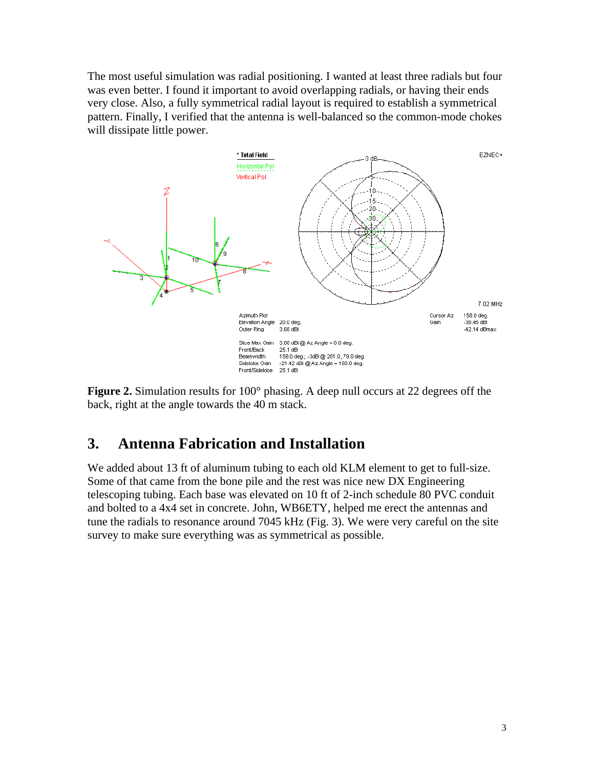The most useful simulation was radial positioning. I wanted at least three radials but four was even better. I found it important to avoid overlapping radials, or having their ends very close. Also, a fully symmetrical radial layout is required to establish a symmetrical pattern. Finally, I verified that the antenna is well-balanced so the common-mode chokes will dissipate little power.



**Figure 2.** Simulation results for 100° phasing. A deep null occurs at 22 degrees off the back, right at the angle towards the 40 m stack.

### **3. Antenna Fabrication and Installation**

We added about 13 ft of aluminum tubing to each old KLM element to get to full-size. Some of that came from the bone pile and the rest was nice new DX Engineering telescoping tubing. Each base was elevated on 10 ft of 2-inch schedule 80 PVC conduit and bolted to a 4x4 set in concrete. John, WB6ETY, helped me erect the antennas and tune the radials to resonance around 7045 kHz (Fig. 3). We were very careful on the site survey to make sure everything was as symmetrical as possible.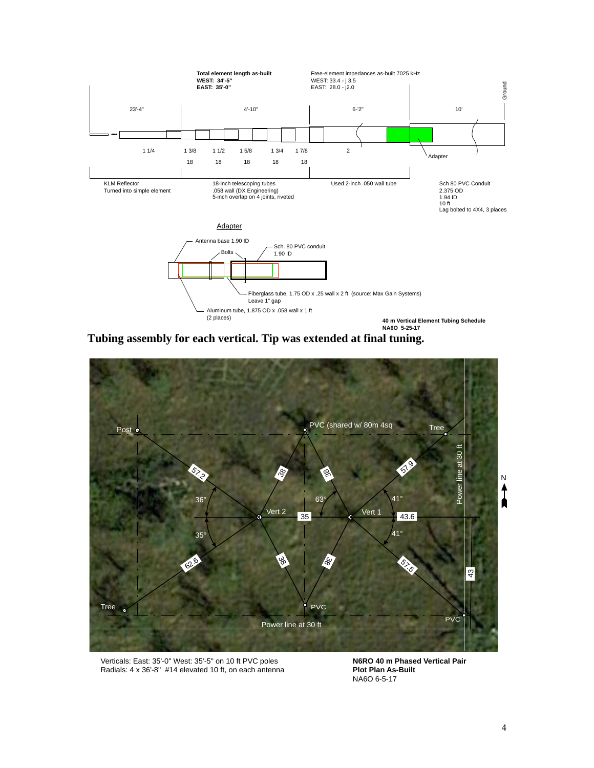

**Tubing assembly for each vertical. Tip was extended at final tuning.**



Verticals: East: 35'-0" West: 35'-5" on 10 ft PVC poles Radials: 4 x 36'-8" #14 elevated 10 ft, on each antenna

**N6RO 40 m Phased Vertical Pair Plot Plan As-Built** NA6O 6-5-17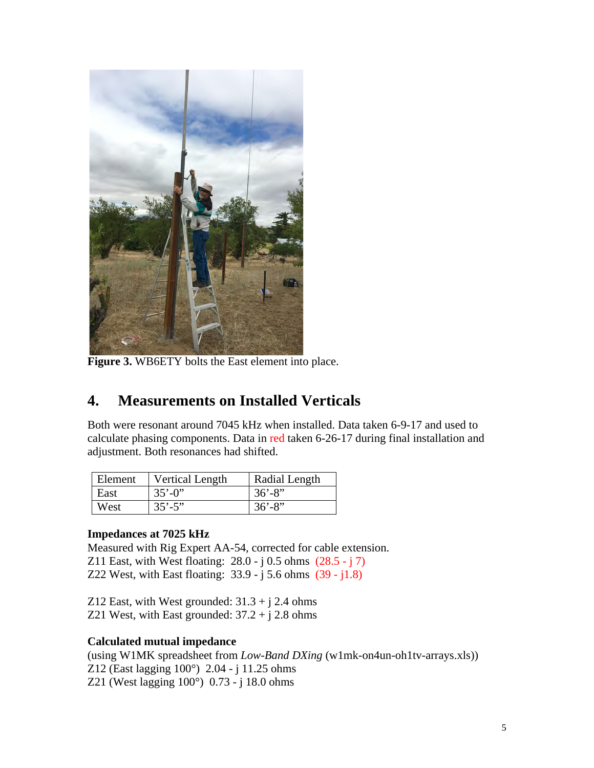

**Figure 3.** WB6ETY bolts the East element into place.

### **4. Measurements on Installed Verticals**

Both were resonant around 7045 kHz when installed. Data taken 6-9-17 and used to calculate phasing components. Data in red taken 6-26-17 during final installation and adjustment. Both resonances had shifted.

| Element | <b>Vertical Length</b> | Radial Length |
|---------|------------------------|---------------|
| East    | $35' - 0$              | $36' - 8''$   |
| West    | $35' - 5''$            | $36' - 8''$   |

#### **Impedances at 7025 kHz**

Measured with Rig Expert AA-54, corrected for cable extension. Z11 East, with West floating:  $28.0 - i 0.5$  ohms  $(28.5 - i 7)$ 

Z22 West, with East floating: 33.9 - j 5.6 ohms (39 - j1.8)

Z12 East, with West grounded:  $31.3 + j$  2.4 ohms Z21 West, with East grounded:  $37.2 + j 2.8$  ohms

#### **Calculated mutual impedance**

(using W1MK spreadsheet from *Low-Band DXing* (w1mk-on4un-oh1tv-arrays.xls)) Z12 (East lagging 100°) 2.04 - j 11.25 ohms Z21 (West lagging 100°) 0.73 - j 18.0 ohms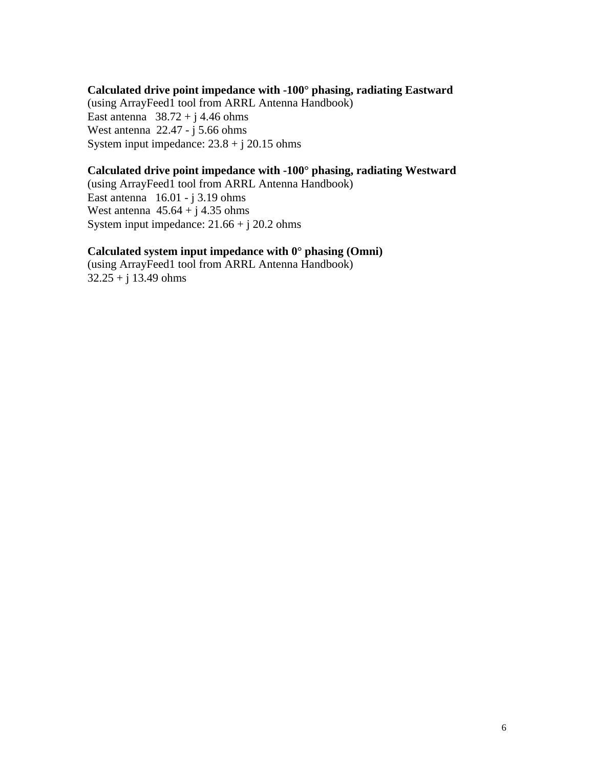#### **Calculated drive point impedance with -100° phasing, radiating Eastward** (using ArrayFeed1 tool from ARRL Antenna Handbook) East antenna  $38.72 + j 4.46$  ohms West antenna  $22.47 - j \cdot 5.66$  ohms System input impedance:  $23.8 + j 20.15$  ohms

#### **Calculated drive point impedance with -100° phasing, radiating Westward**

(using ArrayFeed1 tool from ARRL Antenna Handbook) East antenna  $16.01 - j 3.19$  ohms West antenna  $45.64 + i 4.35$  ohms System input impedance: 21.66 + j 20.2 ohms

#### **Calculated system input impedance with 0° phasing (Omni)**

(using ArrayFeed1 tool from ARRL Antenna Handbook)  $32.25 + i 13.49$  ohms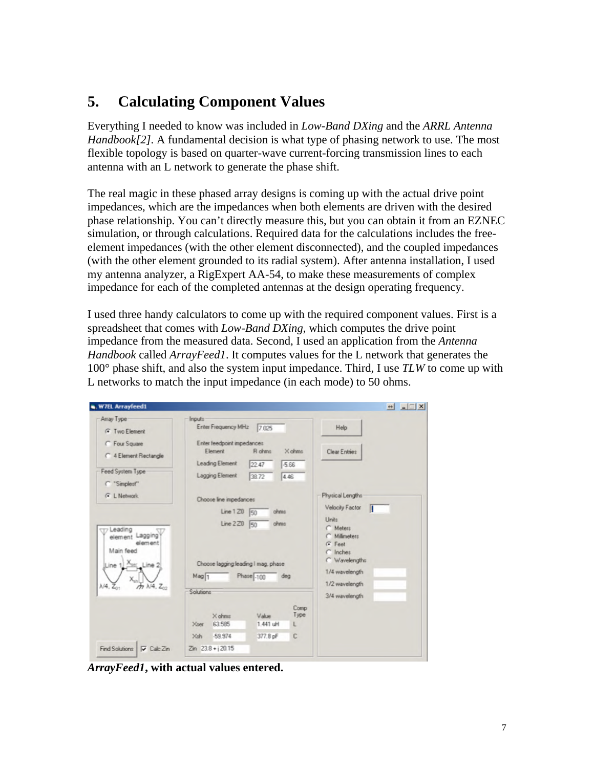### **5. Calculating Component Values**

Everything I needed to know was included in *Low-Band DXing* and the *ARRL Antenna Handbook[2]*. A fundamental decision is what type of phasing network to use. The most flexible topology is based on quarter-wave current-forcing transmission lines to each antenna with an L network to generate the phase shift.

The real magic in these phased array designs is coming up with the actual drive point impedances, which are the impedances when both elements are driven with the desired phase relationship. You can't directly measure this, but you can obtain it from an EZNEC simulation, or through calculations. Required data for the calculations includes the freeelement impedances (with the other element disconnected), and the coupled impedances (with the other element grounded to its radial system). After antenna installation, I used my antenna analyzer, a RigExpert AA-54, to make these measurements of complex impedance for each of the completed antennas at the design operating frequency.

I used three handy calculators to come up with the required component values. First is a spreadsheet that comes with *Low-Band DXing*, which computes the drive point impedance from the measured data. Second, I used an application from the *Antenna Handbook* called *ArrayFeed1*. It computes values for the L network that generates the 100° phase shift, and also the system input impedance. Third, I use *TLW* to come up with L networks to match the input impedance (in each mode) to 50 ohms.

| Array Type                                                                                                                                                                 | <b>Inputs</b>                                                                                                                   |                                                                                                                  |
|----------------------------------------------------------------------------------------------------------------------------------------------------------------------------|---------------------------------------------------------------------------------------------------------------------------------|------------------------------------------------------------------------------------------------------------------|
| <b>G</b> Two Element                                                                                                                                                       | Enter Frequency MH <sub>2</sub><br>7.025                                                                                        | Help                                                                                                             |
| C Four Square<br>C 4 Element Rectangle                                                                                                                                     | Enter feedpoint impedances<br>R ohms<br>$\times$ ohms:<br>Element<br>Leading Element<br>22.47<br>-5.66                          | <b>Clear Entries</b>                                                                                             |
| Feed System Type<br>C "Simplest"                                                                                                                                           | Lagging Element<br>38.72<br>4.46                                                                                                |                                                                                                                  |
| <b>C</b> L Network                                                                                                                                                         | Choose line impedances                                                                                                          | Physical Lengths<br>Velocity Factor                                                                              |
| Ur Leading<br>element Lagging<br>element<br>Main feed<br>X <sub>ser</sub> Line 2<br>Line 1<br>$\lambda$ /4. $\overline{Z}_0$ .<br>$M_1$ $\lambda$ <sup>14</sup> . $Z_{22}$ | Line 120<br>ohms<br>50<br>Line 220 50<br>ohms<br>Choose lagging leading I mag, phase<br>$Mag$ <sup>1</sup><br>Phase -100<br>deg | Units<br>C Meters<br>C Milimeters<br>$G$ Feet<br>$C$ Inches<br>C Wavelengths<br>1/4 wavelength<br>1/2 wavelength |
|                                                                                                                                                                            | Solutions                                                                                                                       | 3/4 wavelength                                                                                                   |
|                                                                                                                                                                            | Comp<br>Type<br>Value<br>X ohms<br>63.585<br>1.441 uH<br>Xser<br>L                                                              |                                                                                                                  |
|                                                                                                                                                                            | $-59.974$<br>377.8 pF<br>Xsh<br>c                                                                                               |                                                                                                                  |
| Find Solutions   V Calc Zin                                                                                                                                                | $Zm$ 23.8 + $i$ 20.15                                                                                                           |                                                                                                                  |

*ArrayFeed1***, with actual values entered.**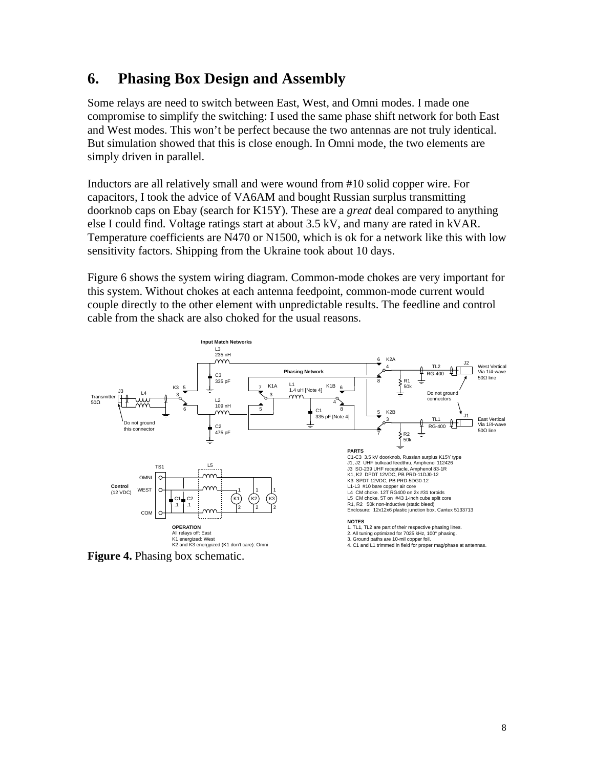#### **6. Phasing Box Design and Assembly**

Some relays are need to switch between East, West, and Omni modes. I made one compromise to simplify the switching: I used the same phase shift network for both East and West modes. This won't be perfect because the two antennas are not truly identical. But simulation showed that this is close enough. In Omni mode, the two elements are simply driven in parallel.

Inductors are all relatively small and were wound from #10 solid copper wire. For capacitors, I took the advice of VA6AM and bought Russian surplus transmitting doorknob caps on Ebay (search for K15Y). These are a *great* deal compared to anything else I could find. Voltage ratings start at about 3.5 kV, and many are rated in kVAR. Temperature coefficients are N470 or N1500, which is ok for a network like this with low sensitivity factors. Shipping from the Ukraine took about 10 days.

Figure 6 shows the system wiring diagram. Common-mode chokes are very important for this system. Without chokes at each antenna feedpoint, common-mode current would couple directly to the other element with unpredictable results. The feedline and control cable from the shack are also choked for the usual reasons.



**Figure 4.** Phasing box schematic.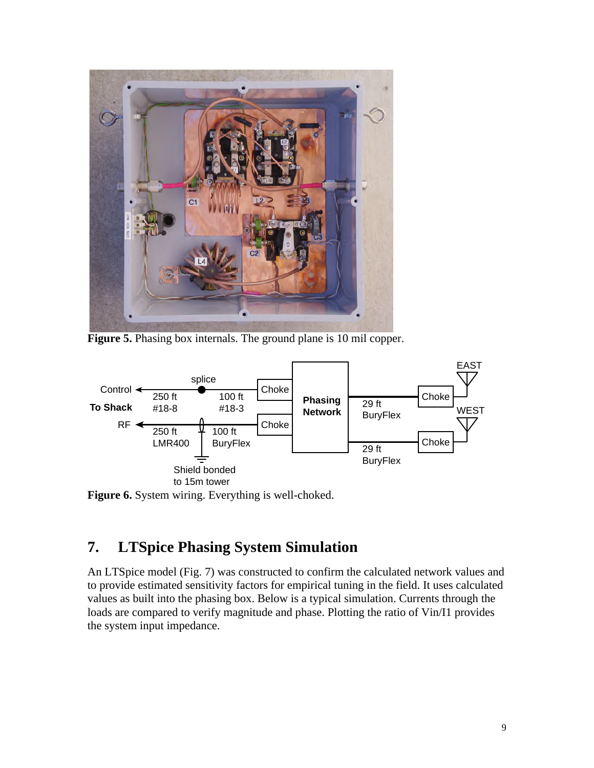

Figure 5. Phasing box internals. The ground plane is 10 mil copper.



**Figure 6.** System wiring. Everything is well-choked.

### **7. LTSpice Phasing System Simulation**

An LTSpice model (Fig. 7) was constructed to confirm the calculated network values and to provide estimated sensitivity factors for empirical tuning in the field. It uses calculated values as built into the phasing box. Below is a typical simulation. Currents through the loads are compared to verify magnitude and phase. Plotting the ratio of Vin/I1 provides the system input impedance.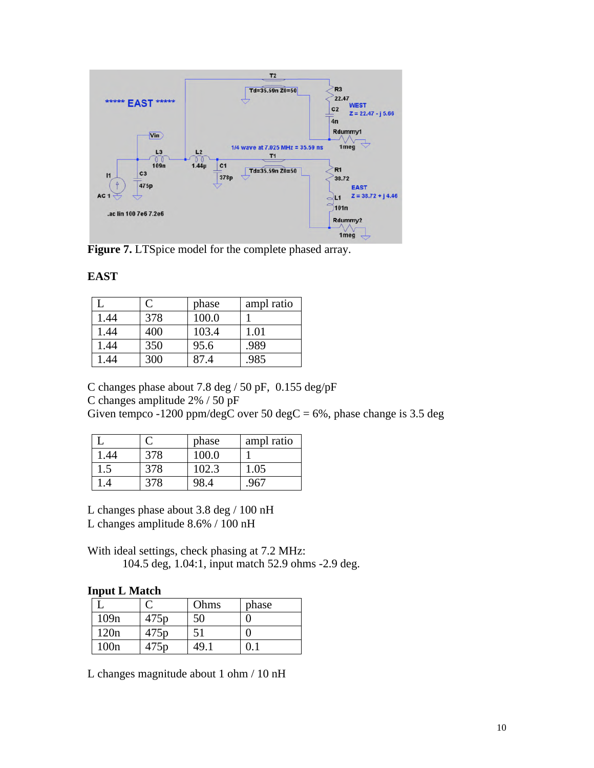

Figure 7. LTSpice model for the complete phased array.

#### **EAST**

|      | $\mathcal{C}$ | phase | ampl ratio |
|------|---------------|-------|------------|
| 1.44 | 378           | 100.0 |            |
| 1.44 | 400           | 103.4 | 1.01       |
| 1.44 | 350           | 95.6  | .989       |
| .44  | 300           | 87.4  | .985       |

C changes phase about 7.8 deg / 50 pF, 0.155 deg/pF

C changes amplitude 2% / 50 pF

Given tempco -1200 ppm/degC over 50 degC =  $6\%$ , phase change is 3.5 deg

|     |     | phase | ampl ratio |
|-----|-----|-------|------------|
| .44 | 378 | 100 O |            |
| L.) | 378 | 102.3 | 1.05       |
|     | 378 |       |            |

L changes phase about 3.8 deg / 100 nH

L changes amplitude 8.6% / 100 nH

With ideal settings, check phasing at 7.2 MHz: 104.5 deg, 1.04:1, input match 52.9 ohms -2.9 deg.

#### **Input L Match**

|                  |                  | Ohms | phase |
|------------------|------------------|------|-------|
| 109 <sub>n</sub> | 475 <sub>p</sub> | 50   |       |
| 120n             | 475 <sub>p</sub> | 51   |       |
| 100n             | 475p             | 49.  |       |

L changes magnitude about 1 ohm / 10 nH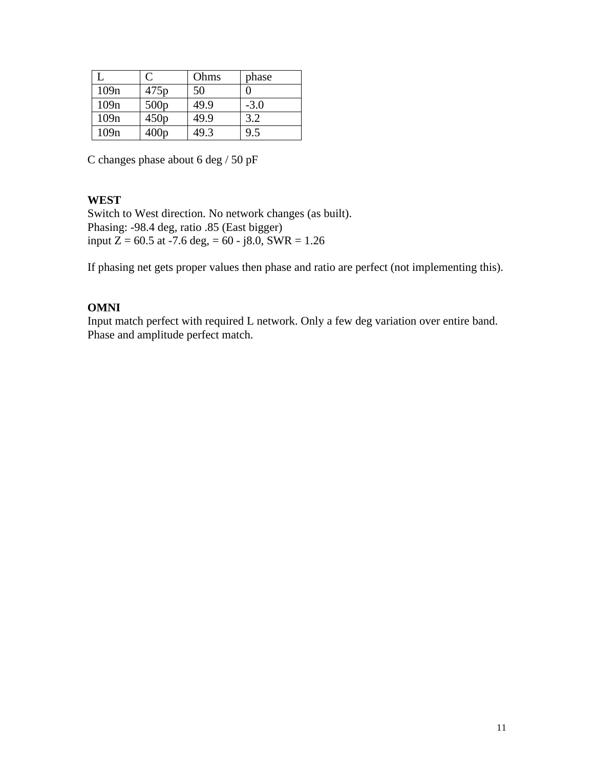|      | $\mathcal{C}_{\mathcal{C}}$ | Ohms | phase  |
|------|-----------------------------|------|--------|
| 109n | 475p                        | 50   | 0      |
| 109n | 500p                        | 49.9 | $-3.0$ |
| 109n | 450p                        | 49.9 | 3.2    |
| 109n | 400p                        | 49.3 | 9.5    |

C changes phase about 6 deg / 50 pF

#### **WEST**

Switch to West direction. No network changes (as built). Phasing: -98.4 deg, ratio .85 (East bigger) input  $Z = 60.5$  at -7.6 deg, = 60 - j8.0, SWR = 1.26

If phasing net gets proper values then phase and ratio are perfect (not implementing this).

#### **OMNI**

Input match perfect with required L network. Only a few deg variation over entire band. Phase and amplitude perfect match.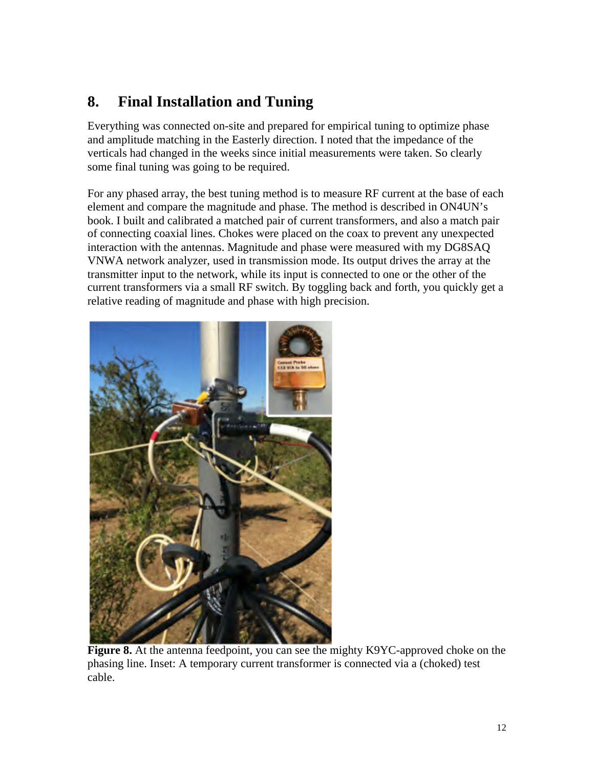# **8. Final Installation and Tuning**

Everything was connected on-site and prepared for empirical tuning to optimize phase and amplitude matching in the Easterly direction. I noted that the impedance of the verticals had changed in the weeks since initial measurements were taken. So clearly some final tuning was going to be required.

For any phased array, the best tuning method is to measure RF current at the base of each element and compare the magnitude and phase. The method is described in ON4UN's book. I built and calibrated a matched pair of current transformers, and also a match pair of connecting coaxial lines. Chokes were placed on the coax to prevent any unexpected interaction with the antennas. Magnitude and phase were measured with my DG8SAQ VNWA network analyzer, used in transmission mode. Its output drives the array at the transmitter input to the network, while its input is connected to one or the other of the current transformers via a small RF switch. By toggling back and forth, you quickly get a relative reading of magnitude and phase with high precision.



**Figure 8.** At the antenna feedpoint, you can see the mighty K9YC-approved choke on the phasing line. Inset: A temporary current transformer is connected via a (choked) test cable.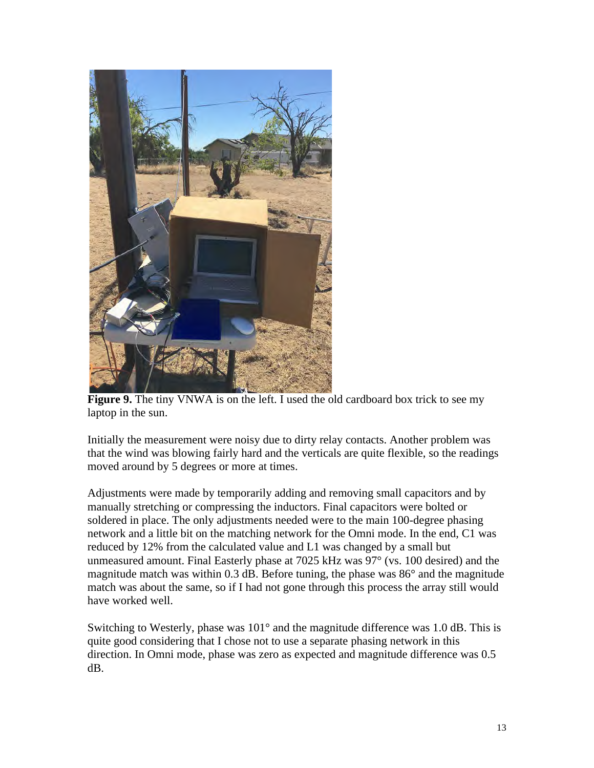

**Figure 9.** The tiny VNWA is on the left. I used the old cardboard box trick to see my laptop in the sun.

Initially the measurement were noisy due to dirty relay contacts. Another problem was that the wind was blowing fairly hard and the verticals are quite flexible, so the readings moved around by 5 degrees or more at times.

Adjustments were made by temporarily adding and removing small capacitors and by manually stretching or compressing the inductors. Final capacitors were bolted or soldered in place. The only adjustments needed were to the main 100-degree phasing network and a little bit on the matching network for the Omni mode. In the end, C1 was reduced by 12% from the calculated value and L1 was changed by a small but unmeasured amount. Final Easterly phase at 7025 kHz was 97° (vs. 100 desired) and the magnitude match was within 0.3 dB. Before tuning, the phase was 86° and the magnitude match was about the same, so if I had not gone through this process the array still would have worked well.

Switching to Westerly, phase was 101° and the magnitude difference was 1.0 dB. This is quite good considering that I chose not to use a separate phasing network in this direction. In Omni mode, phase was zero as expected and magnitude difference was 0.5 dB.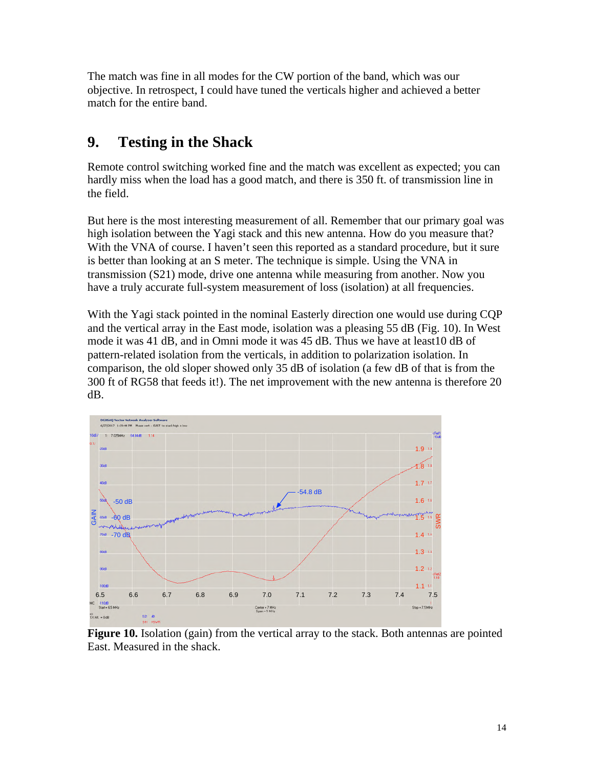The match was fine in all modes for the CW portion of the band, which was our objective. In retrospect, I could have tuned the verticals higher and achieved a better match for the entire band.

### **9. Testing in the Shack**

Remote control switching worked fine and the match was excellent as expected; you can hardly miss when the load has a good match, and there is 350 ft. of transmission line in the field.

But here is the most interesting measurement of all. Remember that our primary goal was high isolation between the Yagi stack and this new antenna. How do you measure that? With the VNA of course. I haven't seen this reported as a standard procedure, but it sure is better than looking at an S meter. The technique is simple. Using the VNA in transmission (S21) mode, drive one antenna while measuring from another. Now you have a truly accurate full-system measurement of loss (isolation) at all frequencies.

With the Yagi stack pointed in the nominal Easterly direction one would use during CQP and the vertical array in the East mode, isolation was a pleasing 55 dB (Fig. 10). In West mode it was 41 dB, and in Omni mode it was 45 dB. Thus we have at least10 dB of pattern-related isolation from the verticals, in addition to polarization isolation. In comparison, the old sloper showed only 35 dB of isolation (a few dB of that is from the 300 ft of RG58 that feeds it!). The net improvement with the new antenna is therefore 20 dB.



**Figure 10.** Isolation (gain) from the vertical array to the stack. Both antennas are pointed East. Measured in the shack.